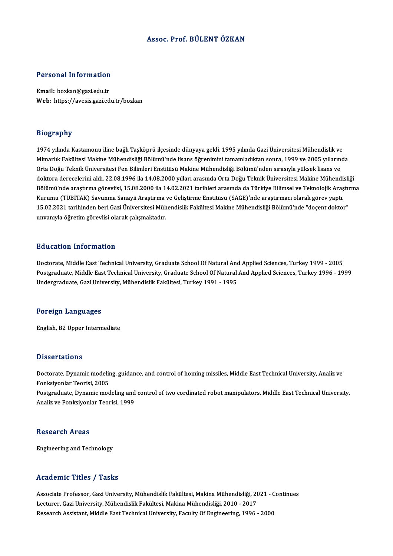#### Assoc. Prof. BÜLENTÖZKAN

# Personal Information

Personal Information<br>Email: bozkan@gazi.edu.tr<br>Web: https://ayesis.crgi.ed Email: bozkan@gazi.edu.tr<br>Web: https://avesis.gazi.edu.tr/bozkan

#### Biography

1974 yılında Kastamonu iline bağlı Taşköprü ilçesinde dünyaya geldi. 1995 yılında Gazi Üniversitesi Mühendislik ve Mimarlık Fakültesi Makine Mühendisliği Bölümü'nde lisans öğrenimini tamamladıktan sonra, 1999 ve 2005 yıllarında Orta Doğu Teknik Üniversitesi Fen Bilimleri Enstitüsü Makine Mühendisliği Bölümü'nden sırasıyla yüksek lisans ve doktora derecelerini aldı. 22.08.1996 ila 14.08.2000 yılları arasında Orta Doğu Teknik Üniversitesi Makine Mühendisliği Orta Doğu Teknik Üniversitesi Fen Bilimleri Enstitüsü Makine Mühendisliği Bölümü'nden sırasıyla yüksek lisans ve<br>doktora derecelerini aldı. 22.08.1996 ila 14.08.2000 yılları arasında Orta Doğu Teknik Üniversitesi Makine Mü doktora derecelerini aldı. 22.08.1996 ila 14.08.2000 yılları arasında Orta Doğu Teknik Üniversitesi Makine Mühendi<br>Bölümü'nde araştırma görevlisi, 15.08.2000 ila 14.02.2021 tarihleri arasında da Türkiye Bilimsel ve Teknolo Bölümü'nde araştırma görevlisi, 15.08.2000 ila 14.02.2021 tarihleri arasında da Türkiye Bilimsel ve Teknolojik Araştın<br>Kurumu (TÜBİTAK) Savunma Sanayii Araştırma ve Geliştirme Enstitüsü (SAGE)'nde araştırmacı olarak görev Kurumu (TÜBİTAK) Savunma Sanayii Araştırma ve Geliştirme Enstitüsü (SAGE)'nde araştırmacı olarak görev yaptı.<br>15.02.2021 tarihinden beri Gazi Üniversitesi Mühendislik Fakültesi Makine Mühendisliği Bölümü'nde "doçent doktor

#### Education Information

Doctorate, Middle East Technical University, Graduate School Of Natural And Applied Sciences, Turkey 1999 - 2005 Pu d'eutren Timor inderon<br>Doctorate, Middle East Technical University, Graduate School Of Natural And Applied Sciences, Turkey 1999 - 2005<br>Undergraduate, Gari University, Mühandislik Fakültesi, Turkey 1991 - 1995 Doctorate, Middle East Technical University, Graduate School Of Natural Anc<br>Postgraduate, Middle East Technical University, Graduate School Of Natural<br>Undergraduate, Gazi University, Mühendislik Fakültesi, Turkey 1991 - 19 Undergraduate, Gazi University, Mühendislik Fakültesi, Turkey 1991 - 1995<br>Foreign Languages

English,B2Upper Intermediate

#### **Dissertations**

Dissertations<br>Doctorate, Dynamic modeling, guidance, and control of homing missiles, Middle East Technical University, Analiz ve<br>Fenksivenkar Tearisi, 2005 Basser darens<br>Doctorate, Dynamic modelir<br>Fonksiyonlar Teorisi, 2005<br>Postanaduate, Dynamic mod Doctorate, Dynamic modeling, guidance, and control of homing missiles, Middle East Technical University, Analiz ve<br>Fonksiyonlar Teorisi, 2005<br>Postgraduate, Dynamic modeling and control of two cordinated robot manipulators, Fonksiyonlar Teorisi, 2005<br>Postgraduate, Dynamic modeling and<br>Analiz ve Fonksiyonlar Teorisi, 1999

Analiz ve Fonksiyonlar Teorisi, 1999<br>Research Areas

Engineering and Technology

#### Academic Titles / Tasks

Academic Titles / Tasks<br>Associate Professor, Gazi University, Mühendislik Fakültesi, Makina Mühendisliği, 2021 - Continues<br>Lesturer, Gari University, Mühendislik Fakültesi, Makina Mühendisliği, 2010, 2017 Lecturer, Lecturer, Tuskis<br>Associate Professor, Gazi University, Mühendislik Fakültesi, Makina Mühendisliği, 20<br>Lecturer, Gazi University, Mühendislik Fakültesi, Makina Mühendisliği, 2010 - 2017<br>Researsh Assistant, Middle Lecturer, Gazi University, Mühendislik Fakültesi, Makina Mühendisliği, 2010 - 2017<br>Research Assistant, Middle East Technical University, Faculty Of Engineering, 1996 - 2000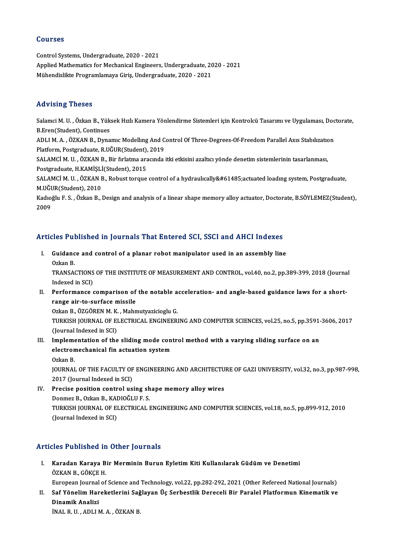#### Courses

Control Systems, Undergraduate, 2020 - 2021 Applied Mathematics for Mechanical Engineers, Undergraduate, 2020 - 2021 Mühendislikte Programlamaya Giriş, Undergraduate, 2020 - 2021

### Advising Theses

Advising Theses<br>Salamci M. U. , Özkan B., Yüksek Hızlı Kamera Yönlendirme Sistemleri için Kontrolcü Tasarımı ve Uygulaması, Doctorate,<br>B.Fran(Student), Continues Salamci M. U. , Özkan B., Yük<br>B.Eren(Student), Continues<br>ADLLM A., ÖZKAN B., Dyma Salamci M. U. , Özkan B., Yüksek Hızlı Kamera Yönlendirme Sistemleri için Kontrolcü Tasarımı ve Uygulaması, Doc<br>B.Eren(Student), Continues<br>ADLI M. A. , ÖZKAN B., Dynamıc Modelling And Control Of Three-Degrees-Of-Freedom Pa

B.Eren(Student), Continues<br>ADLI M. A. , ÖZKAN B., Dynamıc Modelling And C<br>Platform, Postgraduate, R.UĞUR(Student), 2019<br>SALAMCLM, U., ÖZKAN B., Pir fırlatma arasında ADLI M. A. , ÖZKAN B., Dynamıc Modelling And Control Of Three-Degrees-Of-Freedom Parallel Axis Stabilization<br>Platform, Postgraduate, R.UĞUR(Student), 2019<br>SALAMCİ M. U. , ÖZKAN B., Bir fırlatma aracında itki etkisini azalt

Platform, Postgraduate, R.UĞUR(Student),<br>SALAMCİ M. U. , ÖZKAN B., Bir fırlatma ara<br>Postgraduate, H.KAMİŞLİ(Student), 2015<br>SALAMÇİ M. U., ÖZKAN B., Bohust targua SALAMCİ M. U. , ÖZKAN B., Bir fırlatma aracında itki etkisini azaltıcı yönde denetim sistemlerinin tasarlanması,<br>Postgraduate, H.KAMİŞLİ(Student), 2015<br>SALAMCİ M. U. , ÖZKAN B., Robust torque control of a hydraulıcally&#61

Postgraduate, H.KAMİŞLİ<br>SALAMCİ M. U. , ÖZKAN I<br>M.UĞUR(Student), 2010<br>Kadıoğlu E. S. , Özkan B. 1 SALAMCİ M. U. , ÖZKAN B., Robust torque control of a hydraulıcallyactuated loadıng system, Postgraduate,<br>M.UĞUR(Student), 2010<br>Kadıoğlu F. S. , Özkan B., Design and analysis of a linear shape memory alloy actuator,

M.UĞUR(Student), 2010<br>Kadıoğlu F. S. , Özkan B., Design and analysis of a linear shape memory alloy actuator, Doctorate, B.SÖYLEMEZ(Student),<br>2009

### Articles Published in Journals That Entered SCI, SSCI and AHCI Indexes

rticles Published in Journals That Entered SCI, SSCI and AHCI Indexes<br>I. Guidance and control of a planar robot manipulator used in an assembly line Gress Part<br>Guidanc<br>Ozkan B.<br>TPANSA6

Guidance and control of a planar robot manipulator used in an assembly line<br>Ozkan B.<br>TRANSACTIONS OF THE INSTITUTE OF MEASUREMENT AND CONTROL, vol.40, no.2, pp.389-399, 2018 (Journal<br>Indexed in SCD. Ozkan B.<br>TRANSACTIONS<br>Indexed in SCI)<br>Porformanse TRANSACTIONS OF THE INSTITUTE OF MEASUREMENT AND CONTROL, vol.40, no.2, pp.389-399, 2018 (Journal Indexed in SCI)<br>II. Performance comparison of the notable acceleration- and angle-based guidance laws for a short-<br>FAREO SIT

Indexed in SCI)<br>Performance comparison of<br>range air-to-surface missile<br>Orkan B. ÖZCÖPEN M.K. Mahn Performance comparison of the notable a<br>range air-to-surface missile<br>Ozkan B., ÖZGÖREN M. K. , Mahmutyazicioglu G.<br>TURKISH JOURNAL OF ELECTRICAL ENCINEER

range air-to-surface missile<br>Ozkan B., ÖZGÖREN M. K. , Mahmutyazicioglu G.<br>TURKISH JOURNAL OF ELECTRICAL ENGINEERING AND COMPUTER SCIENCES, vol.25, no.5, pp.3591-3606, 2017<br>(Journal Indoved in SCL) Ozkan B., ÖZGÖREN M. K.<br>TURKISH JOURNAL OF EI<br>(Journal Indexed in SCI)<br>Implementation of the TURKISH JOURNAL OF ELECTRICAL ENGINEERING AND COMPUTER SCIENCES, vol.25, no.5, pp.3591-<br>(Journal Indexed in SCI)<br>III. Implementation of the sliding mode control method with a varying sliding surface on an<br>alastromasherical

(Journal Indexed in SCI)<br>III. Implementation of the sliding mode control method with a varying sliding surface on an<br>electromechanical fin actuation system<br>Ozkan B. electromechanical fin actuation system electromechanical fin actuation system<br>Ozkan B.<br>JOURNAL OF THE FACULTY OF ENGINEERING AND ARCHITECTURE OF GAZI UNIVERSITY, vol.32, no.3, pp.987-998,<br>2017 (Journal Indoved in SCI)

Ozkan B.<br>JOURNAL OF THE FACULTY OF<br>2017 (Journal Indexed in SCI)<br>Presise position sentral us JOURNAL OF THE FACULTY OF ENGINEERING AND ARCHITECTU<br>2017 (Journal Indexed in SCI)<br>IV. Precise position control using shape memory alloy wires<br>Donmar B. Orkan B. KADIOČI U.E.S

2017 (Journal Indexed in SCI)<br>IV. Precise position control using shape memory alloy wires<br>Donmez B., Ozkan B., KADIOĞLU F. S. Precise position control using shape memory alloy wires<br>Donmez B., Ozkan B., KADIOĞLU F. S.<br>TURKISH JOURNAL OF ELECTRICAL ENGINEERING AND COMPUTER SCIENCES, vol.18, no.5, pp.899-912, 2010<br>(Jaunnal Indoved in SCI) Donmez B., Ozkan B., KAI<br>TURKISH JOURNAL OF EI<br>(Journal Indexed in SCI)

# Articles Published in Other Journals

I. Karadan Karaya Bir Merminin Burun Eyletim Kiti Kullanılarak Güdüm ve Denetimi ÖZKANB.,GÖKÇEH. Karadan Karaya Bir Merminin Burun Eyletim Kiti Kullanılarak Güdüm ve Denetimi<br>ÖZKAN B., GÖKÇE H.<br>European Journal of Science and Technology, vol.22, pp.282-292, 2021 (Other Refereed National Journals)<br>Sef Vänelim Haneketle

ÖZKAN B., GÖKÇE H.<br>European Journal of Science and Technology, vol.22, pp.282-292, 2021 (Other Refereed National Journals)<br>II. Saf Yönelim Hareketlerini Sağlayan Üç Serbestlik Dereceli Bir Paralel Platformun Kinematik European Journal<br>Saf Yönelim Har<br>Dinamik Analizi<br>İNAL B.U. ADLLI Saf Yönelim Hareketlerini Sağ<br>Dinamik Analizi<br>İNAL R. U. , ADLI M. A. , ÖZKAN B.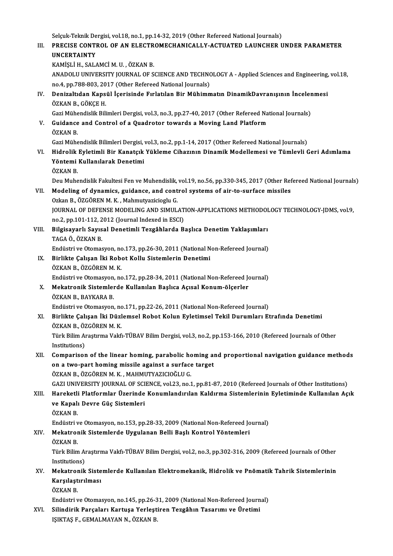Selçuk-Teknik Dergisi, vol.18, no.1, pp.14-32, 2019 (Other Refereed National Journals)<br>PRECISE CONTROL OF AN ELECTROMECHANICALLY ACTUATED LAUNCHER L

## Selçuk-Teknik Dergisi, vol.18, no.1, pp.14-32, 2019 (Other Refereed National Journals)<br>III. PRECISE CONTROL OF AN ELECTROMECHANICALLY-ACTUATED LAUNCHER UNDER PARAMETER<br>IINCERTAINTY Selçuk-Teknik De<br><mark>PRECISE CONTI</mark><br>UNCERTAINTY<br>KAMISLİ H. SAL/ PRECISE CONTROL OF AN ELECTR<br>UNCERTAINTY<br>KAMİŞLİ H., SALAMCİ M. U. , ÖZKAN B.<br>ANADOLU UNIVERSITY JOURNAL OF S

UNCERTAINTY<br>KAMİŞLİ H., SALAMCİ M. U. , ÖZKAN B.<br>ANADOLU UNIVERSITY JOURNAL OF SCIENCE AND TECHNOLOGY A - Applied Sciences and Engineering, vol.18,<br>no.4, np.799,903,2017 (Other Pefereed National Journals). KAMİŞLİ H., SALAMCİ M. U. , ÖZKAN B.<br>ANADOLU UNIVERSITY JOURNAL OF SCIENCE AND TECHNO<br>no.4, pp.788-803, 2017 (Other Refereed National Journals)<br>Donizaltıdan Kansül İsorisində Errlatılan Bir Mühimr ANADOLU UNIVERSITY JOURNAL OF SCIENCE AND TECHNOLOGY A - Applied Sciences and Engineering,<br>no.4, pp.788-803, 2017 (Other Refereed National Journals)<br>IV. Denizaltıdan Kapsül İçerisinde Fırlatılan Bir Mühimmatın DinamikDavra

# no.4, pp.788-803, 20<br><mark>Denizaltıdan Kaps</mark><br>ÖZKAN B., GÖKÇE H.<br>Cari Mühandialik Bil Denizaltıdan Kapsül İçerisinde Fırlatılan Bir Mühimmatın DinamikDavranışının İnceler<br>ÖZKAN B., GÖKÇE H.<br>Gazi Mühendislik Bilimleri Dergisi, vol.3, no.3, pp.27-40, 2017 (Other Refereed National Journals)<br>Cuidance and Contro

## ÖZKAN B., GÖKÇE H.<br>Gazi Mühendislik Bilimleri Dergisi, vol.3, no.3, pp.27-40, 2017 (Other Refereed Nat<br>V. Guidance and Control of a Quadrotor towards a Moving Land Platform<br>ÖZKAN B. Gazi Mühe<br><mark>Guidance</mark><br>ÖZKAN B.<br>*Cari M*ühe

Gazi Mühendislik Bilimleri Dergisi, vol.3, no.2, pp.1-14, 2017 (Other Refereed National Journals)

ÖZKAN B.<br>Gazi Mühendislik Bilimleri Dergisi, vol.3, no.2, pp.1-14, 2017 (Other Refereed National Journals)<br>VI. Hidrolik Eyletimli Bir Kanatçık Yükleme Cihazının Dinamik Modellemesi ve Tümlevli Geri Adımlama<br>Vöntemi Kul Gazi Mühendislik Bilimleri Dergisi,<br>Hidrolik Eyletimli Bir Kanatçık<br>Yöntemi Kullanılarak Denetimi<br>ÖZKAN B Hidrolik<br>Yöntemi<br>ÖZKAN B.<br>Deu Muhe Yöntemi Kullanılarak Denetimi<br>ÖZKAN B.<br>Deu Muhendislik Fakultesi Fen ve Muhendislik, vol.19, no.56, pp.330-345, 2017 (Other Refereed National Journals)

## ÖZKAN B.<br>Deu Muhendislik Fakultesi Fen ve Muhendislik, vol.19, no.56, pp.330-345, 2017 (Other Ref<br>VII. Modeling of dynamics, guidance, and control systems of air-to-surface missiles<br>Ozkan B., ÖZGÖREN M. K. , Mahmutyaziciog Deu Muhendislik Fakultesi Fen ve Muhendislik,<br>Modeling of dynamics, guidance, and cont<br>Ozkan B., ÖZGÖREN M. K. , Mahmutyazicioglu G.<br>JOUPNAL OF DEEENSE MODELING AND SIMUL JOURNAL OF DEFENSE MODELING AND SIMULATION-APPLICATIONS METHODOLOGY TECHNOLOGY-JDMS, vol.9, Ozkan B., ÖZGÖREN M. K. , Mahmutyazicioglu G.<br>JOURNAL OF DEFENSE MODELING AND SIMULAT<br>no.2, pp.101-112, 2012 (Journal Indexed in ESCI)<br>Bilgiaayarlı Soural Denatimli Tergâhlarda B.

VIII. Bilgisayarlı Sayısal Denetimli Tezgâhlarda Başlıca Denetim Yaklaşımları<br>TAGA Ö., ÖZKAN B. no.2, pp.101-112, 2<br><mark>Bilgisayarlı Sayıs</mark><br>TAGA Ö., ÖZKAN B.<br>Endüstri*ve* Otomas Bilgisayarlı Sayısal Denetimli Tezgâhlarda Başlıca Denetim Yaklaşımları<br>TAGA Ö., ÖZKAN B.<br>Endüstri ve Otomasyon, no.173, pp.26-30, 2011 (National Non-Refereed Journal)<br>Birlikte Calısan İki Babat Kallu Sistemlerin Denetimi

IX. Birlikte Çalışan İki Robot Kollu Sistemlerin Denetimi<br>ÖZKAN B., ÖZGÖREN M. K. Endüstri ve Otomasyon, no<br>Birlikte Çalışan İki Robe<br>ÖZKAN B., ÖZGÖREN M. K.<br>Endüstri ve Otomasyon, no Birlikte Çalışan İki Robot Kollu Sistemlerin Denetimi<br>ÖZKAN B., ÖZGÖREN M. K.<br>Endüstri ve Otomasyon, no.172, pp.28-34, 2011 (National Non-Refereed Journal)<br>Mekatronik Sistemlerde Kullenılan Baslısa Asısal Konum ölserler

## X. Mekatronik Sistemlerde Kullanılan Başlıca Açısal Konum-ölçerler<br>ÖZKAN B., BAYKARA B. Endüstri ve Otomasyon<br>Mekatronik Sistemler<br>ÖZKAN B., BAYKARA B.<br>Endüstri ve Otomasyon Mekatronik Sistemlerde Kullanılan Başlıca Açısal Konum-ölçerler<br>ÖZKAN B., BAYKARA B.<br>Endüstri ve Otomasyon, no.171, pp.22-26, 2011 (National Non-Refereed Journal)<br>Birlikte Colseen İki Dürlemeel Behet Kolun Evletimeel Tekil

## XI. Birlikte Çalışan İki Düzlemsel Robot Kolun Eyletimsel Tekil Durumları Etrafında Denetimi Endüstri ve Otomasyon, no<br>Birlikte Çalışan İki Düzl<br>ÖZKAN B., ÖZGÖREN M. K.<br>Türk Bilim Arastuma Valtî Birlikte Çalışan İki Düzlemsel Robot Kolun Eyletimsel Tekil Durumları Etrafında Denetimi<br>ÖZKAN B., ÖZGÖREN M. K.<br>Türk Bilim Araştırma Vakfı-TÜBAV Bilim Dergisi, vol.3, no.2, pp.153-166, 2010 (Refereed Journals of Other<br>Ins

ÖZKAN B., ÖZ<br>Türk Bilim Al<br>Institutions)<br>Comnariser Türk Bilim Araştırma Vakfi-TÜBAV Bilim Dergisi, vol.3, no.2, pp.153-166, 2010 (Refereed Journals of Other<br>Institutions)<br>XII. Comparison of the linear homing, parabolic homing and proportional navigation guidance methods<br>On

## Institutions)<br>Comparison of the linear homing, parabolic homing an<br>on a two-part homing missile against a surface target<br>ÖZKAN B. ÖZGÖREN M.K. MAHMUTYAZICIQÕLU.C Comparison of the linear homing, parabolic ho<br>on a two-part homing missile against a surface<br>ÖZKAN B., ÖZGÖREN M. K., MAHMUTYAZICIOĞLU G.<br>CAZI UNIVERSITY JOURNAL OF SCIENCE vol 22 no 1 on a two-part homing missile against a surface target<br>ÖZKAN B., ÖZGÖREN M. K. , MAHMUTYAZICIOĞLU G.<br>GAZI UNIVERSITY JOURNAL OF SCIENCE, vol.23, no.1, pp.81-87, 2010 (Refereed Journals of Other Institutions)<br>Haroketli Platf

## ÖZKAN B., ÖZGÖREN M. K. , MAHMUTYAZICIOĞLU G.<br>GAZI UNIVERSITY JOURNAL OF SCIENCE, vol.23, no.1, pp.81-87, 2010 (Refereed Journals of Other Institutions)<br>XIII. Hareketli Platformlar Üzerinde Konumlandırılan Kaldırma Sis GAZI UNIVERSITY JOURNAL OF SCI<br>Hareketli Platformlar Üzerinde<br>ve Kapalı Devre Güç Sistemleri<br>ÖZKAN P Hareketli<br>ve Kapalı<br>ÖZKAN B.<br>Endüstri v ve Kapalı Devre Güç Sistemleri<br>ÖZKAN B.<br>Endüstri ve Otomasyon, no.153, pp.28-33, 2009 (National Non-Refereed Journal)<br>Mekatronik Sistemlerde Uygulanan Belli Baslı Kontrel Vöntemleri

## ÖZKAN B.<br>Endüstri ve Otomasyon, no.153, pp.28-33, 2009 (National Non-Refereed Jo<br>XIV. Mekatronik Sistemlerde Uygulanan Belli Başlı Kontrol Yöntemleri<br>ÖZKAN B. Endüstri v<br><mark>Mekatror</mark><br>ÖZKAN B.<br>Türk Bilim

Mekatronik Sistemlerde Uygulanan Belli Başlı Kontrol Yöntemleri<br>ÖZKAN B.<br>Türk Bilim Araştırma Vakfı-TÜBAV Bilim Dergisi, vol.2, no.3, pp.302-316, 2009 (Refereed Journals of Other<br>Institutions) ÖZKAN B.<br>Türk Bilim Al<br>Institutions)<br>Mekatronik Türk Bilim Araştırma Vakfı-TÜBAV Bilim Dergisi, vol.2, no.3, pp.302-316, 2009 (Refereed Journals of Other Institutions)<br>XV. Mekatronik Sistemlerde Kullanılan Elektromekanik, Hidrolik ve Pnömatik Tahrik Sistemlerinin<br>Kanala

# Institutions)<br>Mekatronik Siste<br>Karşılaştırılması<br>Ö7KAN P Mekatro<mark>r</mark><br>Karşılaşt<br>ÖZKAN B.<br>Endüstri v

ÖZKAN B.<br>Endüstri ve Otomasyon, no.145, pp.26-31, 2009 (National Non-Refereed Journal)

ÖZKAN B.<br>Endüstri ve Otomasyon, no.145, pp.26-31, 2009 (National Non-Refereed Journ<br>XVI. Silindirik Parçaları Kartuşa Yerleştiren Tezgâhın Tasarımı ve Üretimi Endüstri ve Otomasyon, no.145, pp.26-3<br>Silindirik Parçaları Kartuşa Yerleşt<br>IŞIKTAŞ F., GEMALMAYAN N., ÖZKAN B.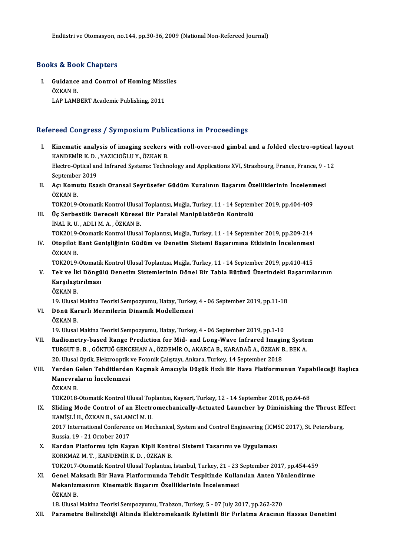### Books&Book Chapters

Ooks & Book Chapters<br>I. Guidance and Control of Homing Missiles<br>ÖZKAN B EU & BUC<br>Guidance<br>ÖZKAN B. ÖZKAN B.<br>LAP LAMBERT Academic Publishing, 2011

### Refereed Congress / Symposium Publications in Proceedings

efereed Congress / Symposium Publications in Proceedings<br>I. Kinematic analysis of imaging seekers with roll-over-nod gimbal and a folded electro-optical layout<br>KANDEMIR K.D. XAZICIOČLIJ V. ÖZKAN B Kinematic analysis of imaging seekers<br>KANDEMİR K. D. , YAZICIOĞLU Y., ÖZKAN B.<br>Electre Onticel and Infrancd Systems: Techn Kinematic analysis of imaging seekers with roll-over-nod gimbal and a folded electro-optical l<br>KANDEMİR K. D. , YAZICIOĞLU Y., ÖZKAN B.<br>Electro-Optical and Infrared Systems: Technology and Applications XVI, Strasbourg, Fra KANDEMİR K. D. , YAZICIOĞLU Y., ÖZKAN B.<br>Electro-Optical and Infrared Systems: Technology and Applications XVI, Strasbourg, France, France, 9 - 12<br>September 2019 Electro-Optical and Infrared Systems: Technology and Applications XVI, Strasbourg, France, France, 9 -<br>September 2019<br>II. Açı Komutu Esaslı Oransal Seyrüsefer Güdüm Kuralının Başarım Özelliklerinin İncelenmesi<br>ÖZKAN B Septembe<br>**Açı Komu**<br>ÖZKAN B.<br>TO<sup>V2010</sup> Açı Komutu Esaslı Oransal Seyrüsefer Güdüm Kuralının Başarım Özelliklerinin İncelenn<br>ÖZKAN B.<br>TOK2019-Otomatik Kontrol Ulusal Toplantısı, Muğla, Turkey, 11 - 14 September 2019, pp.404-409<br>Üe Serbestlik Dereseli Küresel Bir ÖZKAN B.<br>TOK2019-Otomatik Kontrol Ulusal Toplantısı, Muğla, Turkey, 11 - 14 Septeml<br>III. Üç Serbestlik Dereceli Küresel Bir Paralel Manipülatörün Kontrolü<br>İNALB IL ADLLM A. ÖZKAN B TOK2019-Otomatik Kontrol Ulusa<br>Üç Serbestlik Dereceli Kürese<br>İNAL R. U. , ADLI M. A. , ÖZKAN B.<br>TOK2019 Otomatik Kontrol Ulusa Üç Serbestlik Dereceli Küresel Bir Paralel Manipülatörün Kontrolü<br>İNAL R. U. , ADLI M. A. , ÖZKAN B.<br>TOK2019-Otomatik Kontrol Ulusal Toplantısı, Muğla, Turkey, 11 - 14 September 2019, pp.209-214<br>Otonilet Bant Conisliğinin İNAL R. U. , ADLI M. A. , ÖZKAN B.<br>TOK2019-Otomatik Kontrol Ulusal Toplantısı, Muğla, Turkey, 11 - 14 September 2019, pp.209-214<br>IV. Otopilot Bant Genişliğinin Güdüm ve Denetim Sistemi Başarımına Etkisinin İncelenmesi<br> TOK2019-<br>Otopilot<br>ÖZKAN B.<br>TOK2019 Otopilot Bant Genişliğinin Güdüm ve Denetim Sistemi Başarımına Etkisinin İncelenmesi<br>ÖZKAN B.<br>TOK2019-Otomatik Kontrol Ulusal Toplantısı, Muğla, Turkey, 11 - 14 September 2019, pp.410-415<br>Tek ve İki Döngülü Denetim Sisteml ÖZKAN B.<br>TOK2019-Otomatik Kontrol Ulusal Toplantısı, Muğla, Turkey, 11 - 14 September 2019, pp.410-415<br>V. Tek ve İki Döngülü Denetim Sistemlerinin Dönel Bir Tabla Bütünü Üzerindeki Başarımlarının<br>Karallatırılması TOK2019-Otomatik Kontrol Ulusal Toplantısı, Muğla, Turkey, 11 - 14 September 2019, pp.410-415<br>Tek ve İki Döngülü Denetim Sistemlerinin Dönel Bir Tabla Bütünü Üzerindeki Başarıml<br>Karşılaştırılması<br>ÖZKAN B. Tek ve İk<br>Karşılaşt<br>ÖZKAN B. Karşılaştırılması<br>ÖZKAN B.<br>19. Ulusal Makina Teorisi Sempozyumu, Hatay, Turkey, 4 - 06 September 2019, pp.11-18<br>Pēnü Kararlı Marmilarin Dinamik Madallamasi VI. Dönü Kararlı Mermilerin Dinamik Modellemesi<br>ÖZKAN B. 19. Ulusal<br>**Dönü Ka**ı<br>ÖZKAN B.<br>19. Ulusal 19. Ulusal Makina Teorisi Sempozyumu, Hatay, Turkey, 4 - 06 September 2019, pp.1-10 ÖZKAN B.<br>19. Ulusal Makina Teorisi Sempozyumu, Hatay, Turkey, 4 - 06 September 2019, pp.1-10<br>2011. Radiometry-based Range Prediction for Mid- and Long-Wave Infrared Imaging System<br>2012. 19. Ulusal Makina Teorisi Sempozyumu, Hatay, Turkey, 4 - 06 September 2019, pp.1-10<br>Radiometry-based Range Prediction for Mid- and Long-Wave Infrared Imaging Syste<br>TURGUT B. B. , GÖKTUĞ GENCEHAN A., ÖZDEMİR O., AKARCA B., TURGUT B. B. , GÖKTUĞ GENCEHAN A., ÖZDEMİR O., AKARCA B., KARADAĞ A., ÖZKAN B., BEK A.<br>20. Ulusal Optik, Elektrooptik ve Fotonik Calıştayı, Ankara, Turkey, 14 September 2018 TURGUT B. B. , GÖKTUĞ GENCEHAN A., ÖZDEMİR O., AKARCA B., KARADAĞ A., ÖZKAN B., BEK A.<br>20. Ulusal Optik, Elektrooptik ve Fotonik Çalıştayı, Ankara, Turkey, 14 September 2018<br>VIII. Yerden Gelen Tehditlerden Kaçmak Amacı

## 20. Ulusal Optik, Elektrooptik<br>Yerden Gelen Tehditlerder<br>Manevraların İncelenmesi<br>Ö7KAN B Yerden G<br>Manevral<br>ÖZKAN B.<br>TOK2019 Manevraların İncelenmesi<br>ÖZKAN B.<br>TOK2018-Otomatik Kontrol Ulusal Toplantısı, Kayseri, Turkey, 12 - 14 September 2018, pp.64-68

ÖZKAN B.<br>IX. Sliding Mode Control of an Electromechanically-Actuated Launcher by Diminishing the Thrust Effect<br>KAMISLI H. ÖZKAN B. SALAMCİ M. H TOK2018-Otomatik Kontrol Ulusal Top<br>Sliding Mode Control of an Electr<br>KAMİŞLİ H., ÖZKAN B., SALAMCİ M. U.<br>2017 International Conference en Me Sliding Mode Control of an Electromechanically-Actuated Launcher by Diminishing the Thrust Ef<br>KAMİŞLİ H., ÖZKAN B., SALAMCİ M. U.<br>2017 International Conference on Mechanical, System and Control Engineering (ICMSC 2017), St KAMİŞLİ H., ÖZKAN B., SALAM<br>2017 International Conferenc<br>Russia, 19 - 21 October 2017<br>Kandan Platformu isin Kay

2017 International Conference on Mechanical, System and Control Engineering (ICM:<br>Russia, 19 - 21 October 2017<br>X. Kardan Platformu için Kayan Kipli Kontrol Sistemi Tasarımı ve Uygulaması<br>KORKMAZ M.T. KANDEMİR K.D. ÖZKAN R Russia, 19 - 21 October 2017<br>X. Kardan Platformu için Kayan Kipli Kontrol Sistemi Tasarımı ve Uygulaması<br>KORKMAZM. T. , KANDEMİR K. D. , ÖZKAN B.

- Kardan Platformu için Kayan Kipli Kontrol Sistemi Tasarımı ve Uygulaması<br>KORKMAZ M. T. , KANDEMİR K. D. , ÖZKAN B.<br>TOK2017-Otomatik Kontrol Ulusal Toplantısı, İstanbul, Turkey, 21 23 September 2017, pp.454-459<br>Conel Maka KORKMAZ M. T. , KANDEMİR K. D. , ÖZKAN B.<br>TOK2017-Otomatik Kontrol Ulusal Toplantısı, İstanbul, Turkey, 21 - 23 September 2017, pp.454-459<br>XI. Genel Maksatlı Bir Hava Platformunda Tehdit Tespitinde Kullanılan Anten Yönlend
- TOK2017-Otomatik Kontrol Ulusal Toplantısı, İstanbul, Turkey, 21 23<br>Genel Maksatlı Bir Hava Platformunda Tehdit Tespitinde Kulla<br>Mekanizmasının Kinematik Başarım Özelliklerinin İncelenmesi<br>ÖZKAN B XI. Genel Maksatlı Bir Hava Platformunda Tehdit Tespitinde Kullanılan Anten Yönlendirme<br>Mekanizmasının Kinematik Başarım Özelliklerinin İncelenmesi<br>ÖZKAN B.

18. Ulusal Makina Teorisi Sempozyumu, Trabzon, Turkey, 5 - 07 July 2017, pp.262-270

XII. Parametre Belirsizliği Altında Elektromekanik Eyletimli Bir Fırlatma Aracının Hassas Denetimi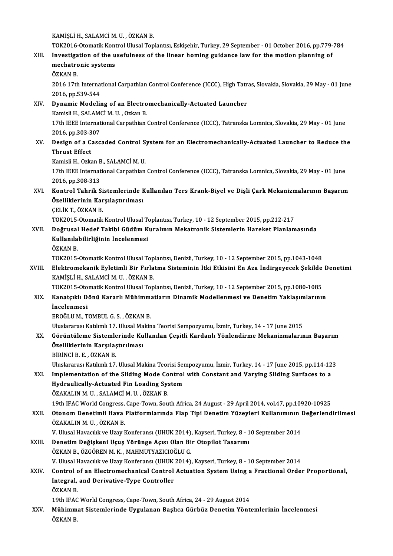KAMİŞLİH.,SALAMCİM.U. ,ÖZKANB.

# KAMİŞLİ H., SALAMCİ M. U. , ÖZKAN B.<br>TOK2016-Otomatik Kontrol Ulusal Toplantısı, Eskişehir, Turkey, 29 September - 01 October 2016, pp.779-784<br>Investigation ef the usefulness of the linear boming guidanse low for the motio

KAMİŞLİ H., SALAMCİ M. U. , ÖZKAN B.<br>TOK2016-Otomatik Kontrol Ulusal Toplantısı, Eskişehir, Turkey, 29 September - 01 October 2016, pp.779-<br>XIII. Investigation of the usefulness of the linear homing guidance law for the mo TOK2016-Otomatik Kont<br>Investigation of the u<br>mechatronic systems<br>ÖZKAN P Investigation of the usefulness of the linear homing guidance law for the motion planning of mechatronic systems<br>ÖZKAN B.

mechatronic systems<br>ÖZKAN B.<br>2016 17th International Carpathian Control Conference (ICCC), High Tatras, Slovakia, Slovakia, 29 May - 01 June ÖZKAN B.<br>2016 17th Interna<br>2016, pp.539-544<br>Dunamis Medelii 2016 17th International Carpathian Control Conference (ICCC), High Tatr<br>2016, pp.539-544<br>XIV. Dynamic Modeling of an Electromechanically-Actuated Launcher<br>Kamieli H. SALAMCI M. H. Orkan B

2016, pp.539-544<br>Dynamic Modeling of an Electro<br>Kamisli H., SALAMCİ M. U. , Ozkan B.<br>17th IEEE International Carnathian ( Dynamic Modeling of an Electromechanically-Actuated Launcher<br>Kamisli H., SALAMCİ M. U. , Ozkan B.<br>17th IEEE International Carpathian Control Conference (ICCC), Tatranska Lomnica, Slovakia, 29 May - 01 June<br>2016.np.202.207 Kamisli H., SALAM<br>17th IEEE Internat<br>2016, pp.303-307<br>Design of a Gass

17th IEEE International Carpathian Control Conference (ICCC), Tatranska Lomnica, Slovakia, 29 May - 01 June<br>2016, pp.303-307<br>XV. Design of a Cascaded Control System for an Electromechanically-Actuated Launcher to Reduce th 2016, pp.303-307<br>XV. Design of a Cascaded Control System for an Electromechanically-Actuated Launcher to Reduce the<br>Thrust Effect Design of a Cascaded Control S<br>Thrust Effect<br>Kamisli H., Ozkan B., SALAMCİ M. U.<br>17th IEEE International Carnethian

17th IEEE International Carpathian Control Conference (ICCC), Tatranska Lomnica, Slovakia, 29 May - 01 June<br>2016, pp.308-313 Kamisli H., Ozkan B<br>17th IEEE Internat<br>2016, pp.308-313<br>Kontrol Tobrik S 17th IEEE International Carpathian Control Conference (ICCC), Tatranska Lomnica, Slovakia, 29 May - 01 June<br>2016, pp.308-313<br>XVI. Kontrol Tahrik Sistemlerinde Kullanılan Ters Krank-Biyel ve Dişli Çark Mekanizmalarının

- 2016, pp.308-313<br>Kontrol Tahrik Sistemlerinde k<br>Özelliklerinin Karşılaştırılması<br>CELİKT ÖZKAN B Kontrol Tahrik Si<br>Özelliklerinin Kar<br>ÇELİK T., ÖZKAN B.<br>TOK2015 Otamatik Özelliklerinin Karşılaştırılması<br>ÇELİK T., ÖZKAN B.<br>TOK2015-Otomatik Kontrol Ulusal Toplantısı, Turkey, 10 - 12 September 2015, pp.212-217<br>Doğrusal Hodef Takihi Güdüm Kuralının Mekatronik Sistemlerin Hareket Planlam
	-

ÇELİK T., ÖZKAN B.<br>TOK2015-Otomatik Kontrol Ulusal Toplantısı, Turkey, 10 - 12 September 2015, pp.212-217<br>XVII. Doğrusal Hedef Takibi Güdüm Kuralının Mekatronik Sistemlerin Hareket Planlamasında<br>Kullanılabilirliğinin İncel TOK2015-Otomatik Kontrol Ulusal T<br>Doğrusal Hedef Takibi Güdüm K<br>Kullanılabilirliğinin İncelenmesi<br>ÖZKAN P Doğrusal<br>Kullanıla<br>ÖZKAN B.<br>TOK2015 Kullanılabilirliğinin İncelenmesi<br>ÖZKAN B.<br>TOK2015-Otomatik Kontrol Ulusal Toplantısı, Denizli, Turkey, 10 - 12 September 2015, pp.1043-1048

ÖZKAN B.<br>TOK2015-Otomatik Kontrol Ulusal Toplantısı, Denizli, Turkey, 10 - 12 September 2015, pp.1043-1048<br>XVIII. Elektromekanik Eyletimli Bir Fırlatma Sisteminin İtki Etkisini En Aza İndirgeyecek Şekilde Denetimi<br>XAMİ KAMİŞLİ H., SALAMCİ M. U. , ÖZKAN B.<br>TOK2015-Otomatik Kontrol Ulusal Toplantısı, Denizli, Turkey, 10 - 12 September 2015, pp.1080-1085 Elektromekanik Eyletimli Bir Fırlatma Sisteminin İtki Etkisini En Aza İndirgeyecek Şekilde<br>KAMİŞLİ H., SALAMCİ M. U. , ÖZKAN B.<br>TOK2015-Otomatik Kontrol Ulusal Toplantısı, Denizli, Turkey, 10 - 12 September 2015, pp.1080-1

## KAMİŞLİ H., SALAMCİ M. U. , ÖZKAN B.<br>TOK2015-Otomatik Kontrol Ulusal Toplantısı, Denizli, Turkey, 10 - 12 September 2015, pp.1080-1085<br>XIX. Kanatçıklı Dönü Kararlı Mühimmatların Dinamik Modellenmesi ve Denetim Yaklaşım TOK2015-Oto<br>Kanatçıklı D<br>İncelenmesi<br>EROČLUM T Kanatçıklı Dönü Kararlı Mühimm:<br>İncelenmesi<br>EROĞLU M., TOMBUL G. S. , ÖZKAN B.<br>Uluelararesı Katılmlı 17 Ulusel Mekin İncelenmesi<br>EROĞLU M., TOMBUL G. S. , ÖZKAN B.<br>Uluslararası Katılımlı 17. Ulusal Makina Teorisi Sempozyumu, İzmir, Turkey, 14 - 17 June 2015

- EROĞLU M., TOMBUL G. S. , ÖZKAN B.<br>Uluslararası Katılımlı 17. Ulusal Makina Teorisi Sempozyumu, İzmir, Turkey, 14 17 June 2015<br>XX. Görüntüleme Sistemlerinde Kullanılan Çeşitli Kardanlı Yönlendirme Mekanizmalarının Ba Uluslararası Katılımlı 17. Ulusal Ma<br>Görüntüleme Sistemlerinde Ku<br>Özelliklerinin Karşılaştırılması<br>Pininci B.F. ÖZKAN B Görüntüleme Sistemle<br>Özelliklerinin Karşılaş<br>BİRİNCİ B.E. , ÖZKAN B.<br>Uluelararası Katılımlı 17 Özelliklerinin Karşılaştırılması<br>BİRİNCİ B. E. , ÖZKAN B.<br>Uluslararası Katılımlı 17. Ulusal Makina Teorisi Sempozyumu, İzmir, Turkey, 14 - 17 June 2015, pp.114-123<br>Implementation of the Sliding Mode Centrel with Censtant a
	-

BIRINCI B. E. , ÖZKAN B.<br>Uluslararası Katılımlı 17. Ulusal Makina Teorisi Sempozyumu, İzmir, Turkey, 14 - 17 June 2015, pp.114-12<br>XXI. Implementation of the Sliding Mode Control with Constant and Varying Sliding Surfaces t Uluslararası Katılımlı 17. Ulusal Makina Teorisi Ser<br>Implementation of the Sliding Mode Control<br>Hydraulically-Actuated Fin Loading System<br>ÖZAKALIN M.H., SALAMCİ M.H., ÖZKAN P

ÖZAKALINM.U. ,SALAMCİM.U. ,ÖZKANB.

19th IFACWorldCongress,Cape-Town,SouthAfrica,24August -29April2014,vol.47,pp.10920-10925

## XXII. Otonom Denetimli Hava Platformlarında Flap Tipi Denetim Yüzeyleri Kullanımının Değerlendirilmesi ÖZAKALINM.U. ,ÖZKANB. Otonom Denetimli Hava Platformlarında Flap Tipi Denetim Yüzeyleri Kullanımının |<br>ÖZAKALIN M. U. , ÖZKAN B.<br>V. Ulusal Havacılık ve Uzay Konferansı (UHUK 2014), Kayseri, Turkey, 8 - 10 September 2014<br>Denetim Değiskeni Haus Y

ÖZAKALIN M. U. , ÖZKAN B.<br>V. Ulusal Havacılık ve Uzay Konferansı (UHUK 2014), Kayseri, Turkey, 8 - 1<br>XXIII. Denetim Değişkeni Uçuş Yörünge Açısı Olan Bir Otopilot Tasarımı<br>ÖZKAN B. ÖZGÖREN M. K. MAHMUTYAZICIQÇI U.C V. Ulusal Havacılık ve Uzay Konferansı (UHUK 2014),<br>Denetim Değişkeni Uçuş Yörünge Açısı Olan Bi<br>ÖZKAN B., ÖZGÖREN M. K. , MAHMUTYAZICIOĞLU G.<br>V. Ulusal Havasılık ve Uzay Konferansı (UHUK 2014) Denetim Değişkeni Uçuş Yörünge Açısı Olan Bir Otopilot Tasarımı<br>ÖZKAN B., ÖZGÖREN M. K. , MAHMUTYAZICIOĞLU G.<br>V. Ulusal Havacılık ve Uzay Konferansı (UHUK 2014), Kayseri, Turkey, 8 - 10 September 2014<br>Control of an Elestro

## ÖZKAN B., ÖZGÖREN M. K. , MAHMUTYAZICIOĞLU G.<br>V. Ulusal Havacılık ve Uzay Konferansı (UHUK 2014), Kayseri, Turkey, 8 - 10 September 2014<br>XXIV. Control of an Electromechanical Control Actuation System Using a Fractional V. Ulusal Havacılık ve Uzay Konferansı (UHUK<br>Control of an Electromechanical Control<br>Integral, and Derivative-Type Controller<br>ÖZKAN B Control<br>Integral,<br>ÖZKAN B.<br>10th IEAC Integral, and Derivative-Type Controller<br>ÖZKAN B.<br>19th IFAC World Congress, Cape-Town, South Africa, 24 - 29 August 2014

ÖZKAN B.<br>19th IFAC World Congress, Cape-Town, South Africa, 24 - 29 August 2014<br>XXV. Mühimmat Sistemlerinde Uygulanan Başlıca Gürbüz Denetim Yöntemlerinin İncelenmesi<br>ÖZKAN B 19th IFAC<br><mark>Mühimm</mark><br>ÖZKAN B.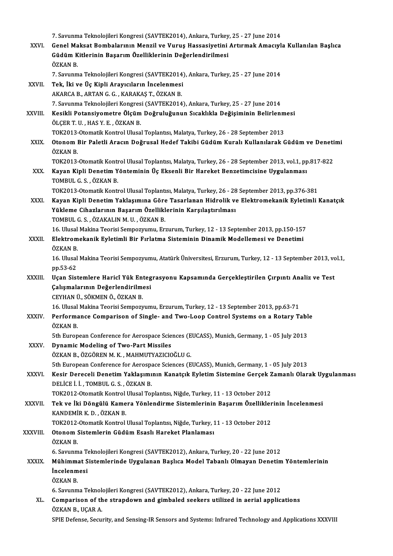|              | 7. Savunma Teknolojileri Kongresi (SAVTEK2014), Ankara, Turkey, 25 - 27 June 2014                                                          |
|--------------|--------------------------------------------------------------------------------------------------------------------------------------------|
| XXVI.        | Genel Maksat Bombalarının Menzil ve Vuruş Hassasiyetini Artırmak Amacıyla Kullanılan Başlıca                                               |
|              | Güdüm Kitlerinin Başarım Özelliklerinin Değerlendirilmesi                                                                                  |
|              | ÖZKAN B.                                                                                                                                   |
|              | 7. Savunma Teknolojileri Kongresi (SAVTEK2014), Ankara, Turkey, 25 - 27 June 2014                                                          |
| XXVII.       | Tek, İki ve Üç Kipli Arayıcıların İncelenmesi                                                                                              |
|              | AKARCA B., ARTAN G. G., KARAKAŞ T., ÖZKAN B.                                                                                               |
|              | 7. Savunma Teknolojileri Kongresi (SAVTEK2014), Ankara, Turkey, 25 - 27 June 2014                                                          |
| XXVIII.      | Kesikli Potansiyometre Ölçüm Doğruluğunun Sıcaklıkla Değişiminin Belirlenmesi                                                              |
|              | ÖLÇER T.U., HAS Y.E., ÖZKAN B.                                                                                                             |
|              | TOK2013-Otomatik Kontrol Ulusal Toplantısı, Malatya, Turkey, 26 - 28 September 2013                                                        |
| XXIX.        | Otonom Bir Paletli Aracın Doğrusal Hedef Takibi Güdüm Kuralı Kullanılarak Güdüm ve Denetimi<br>ÖZKAN B                                     |
|              | TOK2013-Otomatik Kontrol Ulusal Toplantisi, Malatya, Turkey, 26 - 28 September 2013, vol.1, pp.817-822                                     |
| XXX.         | Kayan Kipli Denetim Yönteminin Üç Eksenli Bir Hareket Benzetimcisine Uygulanması                                                           |
|              | TOMBUL G. S., ÖZKAN B.                                                                                                                     |
|              | TOK2013-Otomatik Kontrol Ulusal Toplantisi, Malatya, Turkey, 26 - 28 September 2013, pp.376-381                                            |
| XXXI.        | Kayan Kipli Denetim Yaklaşımına Göre Tasarlanan Hidrolik ve Elektromekanik Eyletimli Kanatçık                                              |
|              | Yükleme Cihazlarının Başarım Özelliklerinin Karşılaştırılması                                                                              |
|              | TOMBUL G. S., ÖZAKALIN M. U., ÖZKAN B.                                                                                                     |
|              | 16. Ulusal Makina Teorisi Sempozyumu, Erzurum, Turkey, 12 - 13 September 2013, pp.150-157                                                  |
| XXXII.       | Elektromekanik Eyletimli Bir Fırlatma Sisteminin Dinamik Modellemesi ve Denetimi                                                           |
|              | ÖZKAN B.                                                                                                                                   |
|              | 16. Ulusal Makina Teorisi Sempozyumu, Atatürk Üniversitesi, Erzurum, Turkey, 12 - 13 September 2013, vol.1,                                |
|              | pp 53-62                                                                                                                                   |
| XXXIII.      | Uçan Sistemlere Haricî Yük Entegrasyonu Kapsamında Gerçekleştirilen Çırpıntı Analiz ve Test                                                |
|              | Çalışmalarının Değerlendirilmesi                                                                                                           |
|              | CEYHAN Ü., SÖKMEN Ö., ÖZKAN B.                                                                                                             |
|              | 16. Ulusal Makina Teorisi Sempozyumu, Erzurum, Turkey, 12 - 13 September 2013, pp.63-71                                                    |
| XXXIV.       | Performance Comparison of Single- and Two-Loop Control Systems on a Rotary Table                                                           |
|              | ÖZKAN B.                                                                                                                                   |
| XXXV.        | 5th European Conference for Aerospace Sciences (EUCASS), Munich, Germany, 1 - 05 July 2013<br><b>Dynamic Modeling of Two-Part Missiles</b> |
|              | ÖZKAN B., ÖZGÖREN M. K., MAHMUTYAZICIOĞLU G.                                                                                               |
|              | 5th European Conference for Aerospace Sciences (EUCASS), Munich, Germany, 1 - 05 July 2013                                                 |
| <b>XXXVI</b> | Kesir Dereceli Denetim Yaklaşımının Kanatçık Eyletim Sistemine Gerçek Zamanlı Olarak Uygulanması                                           |
|              | DELİCE İ. İ., TOMBUL G. S., ÖZKAN B.                                                                                                       |
|              | TOK2012-Otomatik Kontrol Ulusal Toplantısı, Niğde, Turkey, 11 - 13 October 2012                                                            |
| XXXVII.      | Tek ve İki Döngülü Kamera Yönlendirme Sistemlerinin Başarım Özelliklerinin İncelenmesi                                                     |
|              | KANDEMİR K D , ÖZKAN B                                                                                                                     |
|              | TOK2012-Otomatik Kontrol Ulusal Toplantısı, Niğde, Turkey, 11 - 13 October 2012                                                            |
| XXXVIII.     | Otonom Sistemlerin Güdüm Esaslı Hareket Planlaması                                                                                         |
|              | ÖZKAN B                                                                                                                                    |
|              | 6. Savunma Teknolojileri Kongresi (SAVTEK2012), Ankara, Turkey, 20 - 22 June 2012                                                          |
| <b>XXXIX</b> | Mühimmat Sistemlerinde Uygulanan Başlıca Model Tabanlı Olmayan Denetim Yöntemlerinin                                                       |
|              | <i>incelenmesi</i>                                                                                                                         |
|              | ÖZKAN B.                                                                                                                                   |
|              | 6. Savunma Teknolojileri Kongresi (SAVTEK2012), Ankara, Turkey, 20 - 22 June 2012                                                          |
| XL.          | Comparison of the strapdown and gimbaled seekers utilized in aerial applications                                                           |
|              | ÖZKAN B., UÇAR A.                                                                                                                          |
|              | SPIE Defense, Security, and Sensing-IR Sensors and Systems: Infrared Technology and Applications XXXVIII                                   |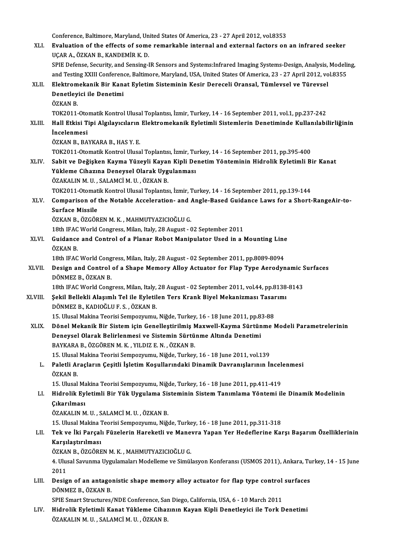Conference, Baltimore, Maryland, United States Of America, 23 - 27 April 2012, vol.8353<br>Fualustion of the offects of some remarkable internal and external fectors on

XLI. Evaluation of the effects of some remarkable internal and external factors on an infrared seeker Conference, Baltimore, Maryland, Un<br>**Evaluation of the effects of some**<br>UÇAR A., ÖZKAN B., KANDEMİR K. D.<br>SPIE Defense, Sesurity and Sensing I Evaluation of the effects of some remarkable internal and external factors on an infrared seeker<br>UÇAR A., ÖZKAN B., KANDEMİR K. D.<br>SPIE Defense, Security, and Sensing-IR Sensors and Systems:Infrared Imaging Systems-Design, UÇAR A., ÖZKAN B., KANDEMİR K. D.<br>SPIE Defense, Security, and Sensing-IR Sensors and Systems:Infrared Imaging Systems-Design, Analysis, Modelii<br>and Testing XXIII Conference, Baltimore, Maryland, USA, United States Of Ameri and Testing XXIII Conference, Baltimore, Maryland, USA, United States Of America, 23 - 27 April 2012, vol.8355<br>XLII. Elektromekanik Bir Kanat Eyletim Sisteminin Kesir Dereceli Oransal, Tümlevsel ve Türevsel and Testing XXIII Conferen<br>Elektromekanik Bir Kan:<br>Denetleyici ile Denetimi<br>Ö7KAN B Elektrom<br>Denetley<br>ÖZKAN B.<br>TOK2011 Denetleyici ile Denetimi<br>ÖZKAN B.<br>TOK2011-Otomatik Kontrol Ulusal Toplantısı, İzmir, Turkey, 14 - 16 September 2011, vol.1, pp.237-242<br>Hall Etkisi Tini Algılawayların Elektromekanik Evletimli Sistemlerin Denetiminde Kullan ÖZKAN B.<br>TOK2011-Otomatik Kontrol Ulusal Toplantısı, İzmir, Turkey, 14 - 16 September 2011, vol.1, pp.237-242<br>XLIII. Hall Etkisi Tipi Algılayıcıların Elektromekanik Eyletimli Sistemlerin Denetiminde Kullanılabilirliğin TOK2011-Oto<br>Hall Etkisi T<br>İncelenmesi<br>ÖZKAN B. PA Hall Etkisi Tipi Algılayıcıların<br>İncelenmesi<br>ÖZKAN B., BAYKARA B., HAS Y. E.<br>TOK2011 Otomatik Kontrol Ulusa İncelenmesi<br>ÖZKAN B., BAYKARA B., HAS Y. E.<br>TOK2011-Otomatik Kontrol Ulusal Toplantısı, İzmir, Turkey, 14 - 16 September 2011, pp.395-400 ÖZKAN B., BAYKARA B., HAS Y. E.<br>TOK2011-Otomatik Kontrol Ulusal Toplantısı, İzmir, Turkey, 14 - 16 September 2011, pp.395-400<br>XLIV. Sabit ve Değişken Kayma Yüzeyli Kayan Kipli Denetim Yönteminin Hidrolik Eyletimli Bir Kana TOK2011-Otomatik Kontrol Ulusal Toplantısı, İzmir, Tu<br>Sabit ve Değişken Kayma Yüzeyli Kayan Kipli De<br>Yükleme Cihazına Deneysel Olarak Uygulanması<br>ÖZAKALIN M.U. SALAMCİ M.U. ÖZKAN P Sabit ve Değişken Kayma Yüzeyli Kayar<br>Yükleme Cihazına Deneysel Olarak Uyg<br>ÖZAKALIN M. U. , SALAMCİ M. U. , ÖZKAN B.<br>TOK2011 Otamatik Kantral Ulusel Taplantıs Yükleme Cihazına Deneysel Olarak Uygulanması<br>ÖZAKALIN M. U. , SALAMCİ M. U. , ÖZKAN B.<br>TOK2011-Otomatik Kontrol Ulusal Toplantısı, İzmir, Turkey, 14 - 16 September 2011, pp.139-144 ÖZAKALIN M. U. , SALAMCİ M. U. , ÖZKAN B.<br>TOK2011-Otomatik Kontrol Ulusal Toplantısı, İzmir, Turkey, 14 - 16 September 2011, pp.139-144<br>XLV. Comparison of the Notable Acceleration- and Angle-Based Guidance Laws for a S TOK2011-Otomat<br>Comparison of<br>Surface Missile<br>ÖZKAN B. ÖZCÖP Comparison of the Notable Acceleration- and A<br>Surface Missile<br>ÖZKAN B., ÖZGÖREN M. K. , MAHMUTYAZICIOĞLU G.<br>19th JEAC World Congress Milen Jtaly 29 August. ( Surface Missile<br>ÖZKAN B., ÖZGÖREN M. K. , MAHMUTYAZICIOĞLU G.<br>18th IFAC World Congress, Milan, Italy, 28 August - 02 September 2011<br>Cuidance and Control of a Planar Bobot Manipulator Used in a l ÖZKAN B., ÖZGÖREN M. K. , MAHMUTYAZICIOĞLU G.<br>18th IFAC World Congress, Milan, Italy, 28 August - 02 September 2011<br>XLVI. Guidance and Control of a Planar Robot Manipulator Used in a Mounting Line<br>ÖZKAN P 18th IFAC<br>Guidance<br>ÖZKAN B.<br>19th IEAC Guidance and Control of a Planar Robot Manipulator Used in a Mounting Line<br>ÖZKAN B.<br>18th IFAC World Congress, Milan, Italy, 28 August - 02 September 2011, pp.8089-8094<br>Design and Control of a Shane Memory, Alley Actuator f ÖZKAN B.<br>18th IFAC World Congress, Milan, Italy, 28 August - 02 September 2011, pp.8089-8094<br>XLVII. Design and Control of a Shape Memory Alloy Actuator for Flap Type Aerodynamic Surfaces<br>DÖNMEZ P. ÖZKAN B 18th IFAC World Congress, Milan, Italy, 28 August - 02 September 2011, pp.8089-8094<br>Design and Control of a Shape Memory Alloy Actuator for Flap Type Aerodynamic :<br>DÖNMEZ B., ÖZKAN B.<br>18th IFAC World Congress, Milan, Italy Design and Control of a Shape Memory Alloy Actuator for Flap Type Aerodynamic S<br>DÖNMEZ B., ÖZKAN B.<br>18th IFAC World Congress, Milan, Italy, 28 August - 02 September 2011, vol.44, pp.8138-8143<br>Sekil Bellekli Alasımlı Tel il DÖNMEZ B., ÖZKAN B.<br>18th IFAC World Congress, Milan, Italy, 28 August - 02 September 2011, vol.44, pp.8138<br>XLVIII. Şekil Bellekli Alaşımlı Tel ile Eyletilen Ters Krank Biyel Mekanizması Tasarımı<br>DÖNMEZ B. KADIQĞLUE S., DÖNMEZ B., KADIOĞLU F. S. , ÖZKAN B.<br>15. Ulusal Makina Teorisi Sempozyumu, Niğde, Turkey, 16 - 18 June 2011, pp.83-88 Şekil Bellekli Alaşımlı Tel ile Eyletilen Ters Krank Biyel Mekanizması Tasaı<br>DÖNMEZ B., KADIOĞLU F. S. , ÖZKAN B.<br>15. Ulusal Makina Teorisi Sempozyumu, Niğde, Turkey, 16 - 18 June 2011, pp.83-88<br>Pönel Makanik Bir Sistem is XLIX. Dönel Mekanik Bir Sistem için Genelleştirilmiş Maxwell-Kayma Sürtünme Modeli Parametrelerinin 15. Ulusal Makina Teorisi Sempozyumu, Niğde, Turkey, 16 - 18 June 2011, pp.8.<br>Dönel Mekanik Bir Sistem için Genelleştirilmiş Maxwell-Kayma Sürtün<br>Deneysel Olarak Belirlenmesi ve Sistemin Sürtünme Altında Denetimi<br>RAYKARA R Dönel Mekanik Bir Sistem için Genelleştirilmiş M<br>Deneysel Olarak Belirlenmesi ve Sistemin Sürtü<br>BAYKARA B., ÖZGÖREN M.K. , YILDIZ E.N. , ÖZKAN B.<br>15 Ulucel Meltine Teorisi Semnegyumu, Nižde Turkey Deneysel Olarak Belirlenmesi ve Sistemin Sürtünme Altında Denetimi<br>BAYKARA B., ÖZGÖREN M. K. , YILDIZ E. N. , ÖZKAN B.<br>15. Ulusal Makina Teorisi Sempozyumu, Niğde, Turkey, 16 - 18 June 2011, vol.139<br>Peletli Arasların Cesit BAYKARA B., ÖZGÖREN M. K. , YILDIZ E. N. , ÖZKAN B.<br>15. Ulusal Makina Teorisi Sempozyumu, Niğde, Turkey, 16 - 18 June 2011, vol.139<br>1. Paletli Araçların Çeşitli İşletim Koşullarındaki Dinamik Davranışlarının İncelenmesi<br>ÖZ 15. Ulusal<br>Paletli Ar<br>ÖZKAN B.<br>15. Ulusal Paletli Araçların Çeşitli İşletim Koşullarındaki Dinamik Davranışlarının İncel<br>ÖZKAN B.<br>15. Ulusal Makina Teorisi Sempozyumu, Niğde, Turkey, 16 - 18 June 2011, pp.411-419<br>Hidrolik Evletimli Bir Vük Hygulama Sisteminin Sist ÖZKAN B.<br>15. Ulusal Makina Teorisi Sempozyumu, Niğde, Turkey, 16 - 18 June 2011, pp.411-419<br>LI. Hidrolik Eyletimli Bir Yük Uygulama Sisteminin Sistem Tanımlama Yöntemi ile Dinamik Modelinin<br>Cıkarılması 15. Ulusal Ma<br>Hidrolik Ey<br>Çıkarılması<br>ÖZAKALIN M Hidrolik Eyletimli Bir Yük Uygulama Sis<br>Çıkarılması<br>ÖZAKALIN M. U. , SALAMCİ M. U. , ÖZKAN B.<br>15 Ulucal Makina Teorisi Semnezzumu Niğ Çıkarılması<br>ÖZAKALIN M. U. , SALAMCİ M. U. , ÖZKAN B.<br>15. Ulusal Makina Teorisi Sempozyumu, Niğde, Turkey, 16 - 18 June 2011, pp.311-318<br>Tek ve İki Bargalı Eüzelerin Hareketli ve Maneyra Yanan Yar Hadeflerine Kaı ÖZAKALIN M. U. , SALAMCİ M. U. , ÖZKAN B.<br>15. Ulusal Makina Teorisi Sempozyumu, Niğde, Turkey, 16 - 18 June 2011, pp.311-318<br>LII. Tek ve İki Parçalı Füzelerin Hareketli ve Manevra Yapan Yer Hedeflerine Karşı Başarım Öz 15. Ulusal Makina 7<br>Tek ve İki Parçal<br>Karşılaştırılması<br>ÖZKAN B. ÖZCÖBE Tek ve İki Parçalı Füzelerin Hareketli ve Mane<br>Karşılaştırılması<br>ÖZKAN B., ÖZGÖREN M. K. , MAHMUTYAZICIOĞLU G.<br>4. Ulucel Sayınme Uygulameları Madallame ve Simül Karşılaştırılması<br>ÖZKAN B., ÖZGÖREN M. K. , MAHMUTYAZICIOĞLU G.<br>4. Ulusal Savunma Uygulamaları Modelleme ve Simülasyon Konferansı (USMOS 2011), Ankara, Turkey, 14 - 15 June<br>2011 ÖZKAN B., ÖZGÖREN M. K., MAHMUTYAZICIOĞLU G. 4. Ulusal Savunma Uygulamaları Modelleme ve Simülasyon Konferansı (USMOS 2011), Ankara, Tu<br>2011<br>LIII. Design of an antagonistic shape memory alloy actuator for flap type control surfaces 2011<br>Design of an antago<br>DÖNMEZ B., ÖZKAN B.<br>SPIE Smart Structures Design of an antagonistic shape memory alloy actuator for flap type control<br>DÖNMEZ B., ÖZKAN B.<br>SPIE Smart Structures/NDE Conference, San Diego, California, USA, 6 - 10 March 2011<br>Hidrolik Evletimli Konet Vüklome Ciberunun DÖNMEZ B., ÖZKAN B.<br>SPIE Smart Structures/NDE Conference, San Diego, California, USA, 6 - 10 March 2011<br>LIV. Hidrolik Eyletimli Kanat Yükleme Cihazının Kayan Kipli Denetleyici ile Tork Denetimi SPIE Smart Structures/NDE Conference, Saı<br>Hidrolik <mark>Eyletimli Kanat Yükleme Ciha</mark>z<br>ÖZAKALIN M. U. , SALAMCİ M. U. , ÖZKAN B.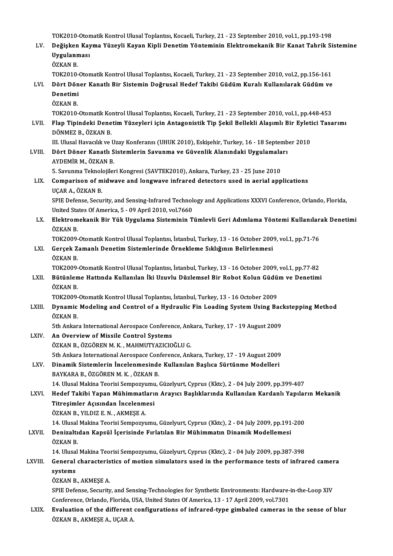| LV.          | TOK2010-Otomatik Kontrol Ulusal Toplantisi, Kocaeli, Turkey, 21 - 23 September 2010, vol.1, pp.193-198<br>Değişken Kayma Yüzeyli Kayan Kipli Denetim Yönteminin Elektromekanik Bir Kanat Tahrik Sistemine |
|--------------|-----------------------------------------------------------------------------------------------------------------------------------------------------------------------------------------------------------|
|              | Uygulanması<br>ÖZKAN B.                                                                                                                                                                                   |
| LVI.         | TOK2010-Otomatik Kontrol Ulusal Toplantisi, Kocaeli, Turkey, 21 - 23 September 2010, vol.2, pp.156-161<br>Dört Döner Kanatlı Bir Sistemin Doğrusal Hedef Takibi Güdüm Kuralı Kullanılarak Güdüm ve        |
|              | Denetimi<br>ÖZKAN B.                                                                                                                                                                                      |
|              | TOK2010-Otomatik Kontrol Ulusal Toplantisi, Kocaeli, Turkey, 21 - 23 September 2010, vol.1, pp.448-453                                                                                                    |
| LVII.        | Flap Tipindeki Denetim Yüzeyleri için Antagonistik Tip Şekil Bellekli Alaşımlı Bir Eyletici Tasarımı<br>DÖNMEZ B., ÖZKAN B.                                                                               |
|              | III. Ulusal Havacılık ve Uzay Konferansı (UHUK 2010), Eskişehir, Turkey, 16 - 18 September 2010                                                                                                           |
| LVIII.       | Dört Döner Kanatlı Sistemlerin Savunma ve Güvenlik Alanındaki Uygulamaları<br>AYDEMİR M, ÖZKAN B                                                                                                          |
|              | 5. Savunma Teknolojileri Kongresi (SAVTEK2010), Ankara, Turkey, 23 - 25 June 2010                                                                                                                         |
| LIX.         | Comparison of midwave and longwave infrared detectors used in aerial applications<br>UÇAR A., ÖZKAN B.                                                                                                    |
|              | SPIE Defense, Security, and Sensing-Infrared Technology and Applications XXXVI Conference, Orlando, Florida,<br>United States Of America, 5 - 09 April 2010, vol.7660                                     |
| LX.          | Elektromekanik Bir Yük Uygulama Sisteminin Tümlevli Geri Adımlama Yöntemi Kullanılarak Denetimi<br>ÖZKAN B.                                                                                               |
|              | TOK2009-Otomatik Kontrol Ulusal Toplantisi, İstanbul, Turkey, 13 - 16 October 2009, vol.1, pp.71-76                                                                                                       |
| LXI.         | Gerçek Zamanlı Denetim Sistemlerinde Örnekleme Sıklığının Belirlenmesi<br>ÖZKAN B.                                                                                                                        |
|              | TOK2009-Otomatik Kontrol Ulusal Toplantisi, İstanbul, Turkey, 13 - 16 October 2009, vol.1, pp.77-82                                                                                                       |
| LXII.        | Bütünleme Hattında Kullanılan İki Uzuvlu Düzlemsel Bir Robot Kolun Güdüm ve Denetimi<br>ÖZKAN B                                                                                                           |
|              | TOK2009-Otomatik Kontrol Ulusal Toplantisi, İstanbul, Turkey, 13 - 16 October 2009                                                                                                                        |
| LXIII.       | Dynamic Modeling and Control of a Hydraulic Fin Loading System Using Backstepping Method<br>ÖZKAN B.                                                                                                      |
|              | 5th Ankara International Aerospace Conference, Ankara, Turkey, 17 - 19 August 2009                                                                                                                        |
| LXIV.        | An Overview of Missile Control Systems                                                                                                                                                                    |
|              | ÖZKAN B., ÖZGÖREN M. K., MAHMUTYAZICIOĞLU G.                                                                                                                                                              |
| LXV.         | 5th Ankara International Aerospace Conference, Ankara, Turkey, 17 - 19 August 2009<br>Dinamik Sistemlerin İncelenmesinde Kullanılan Başlıca Sürtünme Modelleri                                            |
|              | BAYKARA B., ÖZGÖREN M. K., ÖZKAN B.                                                                                                                                                                       |
|              | 14. Ulusal Makina Teorisi Sempozyumu, Güzelyurt, Cyprus (Kktc), 2 - 04 July 2009, pp.399-407                                                                                                              |
| LXVI.        | Hedef Takibi Yapan Mühimmatların Arayıcı Başlıklarında Kullanılan Kardanlı Yapıların Mekanik<br>Titreşimler Açısından İncelenmesi                                                                         |
|              | ÖZKAN B., YILDIZ E. N., AKMEŞE A.                                                                                                                                                                         |
| <b>LXVII</b> | 14. Ulusal Makina Teorisi Sempozyumu, Güzelyurt, Cyprus (Kktc), 2 - 04 July 2009, pp.191-200<br>Denizaltıdan Kapsül İçerisinde Fırlatılan Bir Mühimmatın Dinamik Modellemesi                              |
|              | ÖZKAN B.                                                                                                                                                                                                  |
|              | 14. Ulusal Makina Teorisi Sempozyumu, Güzelyurt, Cyprus (Kktc), 2 - 04 July 2009, pp.387-398                                                                                                              |
| LXVIII.      | General characteristics of motion simulators used in the performance tests of infrared camera<br>systems                                                                                                  |
|              | ÖZKAN B., AKMEŞE A.                                                                                                                                                                                       |
|              | SPIE Defense, Security, and Sensing-Technologies for Synthetic Environments: Hardware-in-the-Loop XIV<br>Conference, Orlando, Florida, USA, United States Of America, 13 - 17 April 2009, vol.7301        |
| LXIX.        | Evaluation of the different configurations of infrared-type gimbaled cameras in the sense of blur                                                                                                         |
|              | ÖZKAN B., AKMEŞE A., UÇAR A.                                                                                                                                                                              |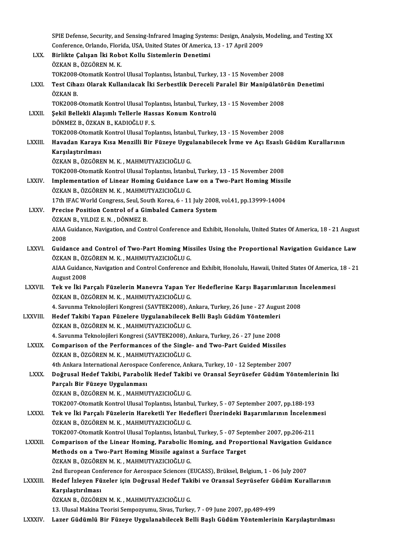|                | SPIE Defense, Security, and Sensing-Infrared Imaging Systems: Design, Analysis, Modeling, and Testing XX<br>Conference, Orlando, Florida, USA, United States Of America, 13 - 17 April 2009 |
|----------------|---------------------------------------------------------------------------------------------------------------------------------------------------------------------------------------------|
| LXX.           | Birlikte Çalışan İki Robot Kollu Sistemlerin Denetimi                                                                                                                                       |
|                | ÖZKAN B., ÖZGÖREN M. K.                                                                                                                                                                     |
| <b>LXXI</b>    | TOK2008-Otomatik Kontrol Ulusal Toplantısı, İstanbul, Turkey, 13 - 15 November 2008<br>Test Cihazı Olarak Kullanılacak İki Serbestlik Dereceli Paralel Bir Manipülatörün Denetimi           |
|                | ÖZKAN B.                                                                                                                                                                                    |
|                | TOK2008-Otomatik Kontrol Ulusal Toplantısı, İstanbul, Turkey, 13 - 15 November 2008                                                                                                         |
| LXXII.         | Şekil Bellekli Alaşımlı Tellerle Hassas Konum Kontrolü                                                                                                                                      |
|                | DÖNMEZ B., ÖZKAN B., KADIOĞLU F. S.                                                                                                                                                         |
| <b>LXXIII</b>  | TOK2008-Otomatik Kontrol Ulusal Toplantisi, İstanbul, Turkey, 13 - 15 November 2008<br>Havadan Karaya Kısa Menzilli Bir Füzeye Uygulanabilecek İvme ve Açı Esaslı Güdüm Kurallarının        |
|                | Karşılaştırılması                                                                                                                                                                           |
|                | ÖZKAN B., ÖZGÖREN M. K., MAHMUTYAZICIOĞLU G.                                                                                                                                                |
|                | TOK2008-Otomatik Kontrol Ulusal Toplantisi, İstanbul, Turkey, 13 - 15 November 2008                                                                                                         |
| <b>LXXIV</b>   | Implementation of Linear Homing Guidance Law on a Two-Part Homing Missile                                                                                                                   |
|                | ÖZKAN B., ÖZGÖREN M. K., MAHMUTYAZICIOĞLU G.                                                                                                                                                |
| <b>LXXV</b>    | 17th IFAC World Congress, Seul, South Korea, 6 - 11 July 2008, vol.41, pp.13999-14004<br>Precise Position Control of a Gimbaled Camera System                                               |
|                | ÖZKAN B., YILDIZ E. N., DÖNMEZ B.                                                                                                                                                           |
|                | AIAA Guidance, Navigation, and Control Conference and Exhibit, Honolulu, United States Of America, 18 - 21 August                                                                           |
|                | 2008                                                                                                                                                                                        |
| <b>LXXVI</b>   | Guidance and Control of Two-Part Homing Missiles Using the Proportional Navigation Guidance Law                                                                                             |
|                | ÖZKAN B., ÖZGÖREN M. K., MAHMUTYAZICIOĞLU G.<br>AIAA Guidance, Navigation and Control Conference and Exhibit, Honolulu, Hawaii, United States Of America, 18 - 21                           |
|                | August 2008                                                                                                                                                                                 |
| <b>LXXVII</b>  | Tek ve İki Parçalı Füzelerin Manevra Yapan Yer Hedeflerine Karşı Başarımlarının İncelenmesi                                                                                                 |
|                | ÖZKAN B., ÖZGÖREN M. K., MAHMUTYAZICIOĞLU G.                                                                                                                                                |
|                | 4. Savunma Teknolojileri Kongresi (SAVTEK2008), Ankara, Turkey, 26 June - 27 August 2008                                                                                                    |
| <b>LXXVIII</b> | Hedef Takibi Yapan Füzelere Uygulanabilecek Belli Başlı Güdüm Yöntemleri                                                                                                                    |
|                | ÖZKAN B., ÖZGÖREN M. K., MAHMUTYAZICIOĞLU G.<br>4. Savunma Teknolojileri Kongresi (SAVTEK2008), Ankara, Turkey, 26 - 27 June 2008                                                           |
| <b>LXXIX</b>   | Comparison of the Performances of the Single- and Two-Part Guided Missiles                                                                                                                  |
|                | ÖZKAN B., ÖZGÖREN M. K., MAHMUTYAZICIOĞLU G.                                                                                                                                                |
|                | 4th Ankara International Aerospace Conference, Ankara, Turkey, 10 - 12 September 2007                                                                                                       |
| <b>LXXX</b>    | Doğrusal Hedef Takibi, Parabolik Hedef Takibi ve Oransal Seyrüsefer Güdüm Yöntemlerinin İki                                                                                                 |
|                | Parçalı Bir Füzeye Uygulanması                                                                                                                                                              |
|                | ÖZKAN B., ÖZGÖREN M. K., MAHMUTYAZICIOĞLU G.<br>TOK2007-Otomatik Kontrol Ulusal Toplantısı, İstanbul, Turkey, 5 - 07 September 2007, pp.188-193                                             |
| <b>LXXXI</b>   | Tek ve İki Parçalı Füzelerin Hareketli Yer Hedefleri Üzerindeki Başarımlarının İncelenmesi                                                                                                  |
|                | ÖZKAN B., ÖZGÖREN M. K., MAHMUTYAZICIOĞLU G.                                                                                                                                                |
|                | TOK2007-Otomatik Kontrol Ulusal Toplantısı, İstanbul, Turkey, 5 - 07 September 2007, pp.206-211                                                                                             |
| <b>LXXXII</b>  | Comparison of the Linear Homing, Parabolic Homing, and Proportional Navigation Guidance                                                                                                     |
|                | Methods on a Two-Part Homing Missile against a Surface Target                                                                                                                               |
|                | ÖZKAN B., ÖZGÖREN M. K., MAHMUTYAZICIOĞLU G.<br>2nd European Conference for Aerospace Sciences (EUCASS), Brüksel, Belgium, 1 - 06 July 2007                                                 |
| LXXXIII.       | Hedef İzleyen Füzeler için Doğrusal Hedef Takibi ve Oransal Seyrüsefer Güdüm Kurallarının                                                                                                   |
|                | Karşılaştırılması                                                                                                                                                                           |
|                | ÖZKAN B., ÖZGÖREN M. K., MAHMUTYAZICIOĞLU G.                                                                                                                                                |
|                | 13. Ulusal Makina Teorisi Sempozyumu, Sivas, Turkey, 7 - 09 June 2007, pp.489-499                                                                                                           |
| <b>LXXXIV</b>  | Lazer Güdümlü Bir Füzeye Uygulanabilecek Belli Başlı Güdüm Yöntemlerinin Karşılaştırılması                                                                                                  |